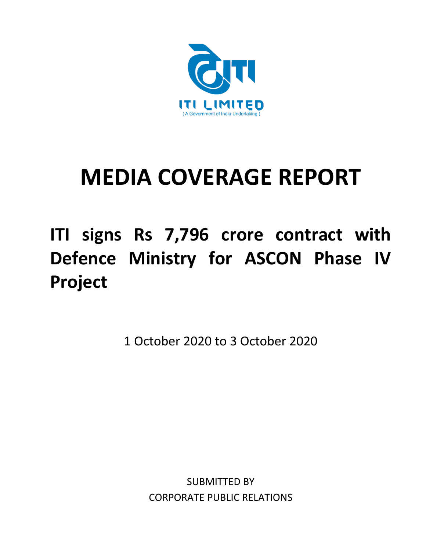

# **MEDIA COVERAGE REPORT**

# **ITI signs Rs 7,796 crore contract with Defence Ministry for ASCON Phase IV Project**

1 October 2020 to 3 October 2020

SUBMITTED BY CORPORATE PUBLIC RELATIONS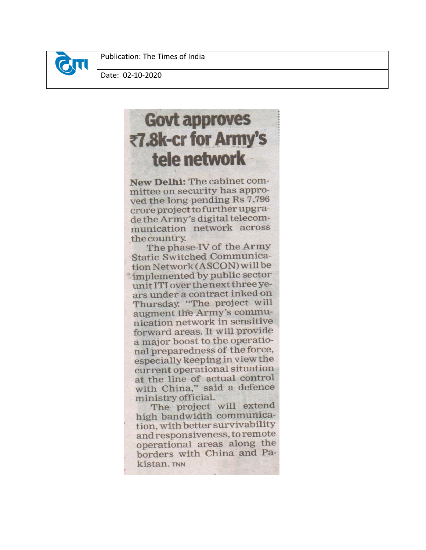

Publication: The Times of India

Date: 02-10-2020

## **Govt approves** ₹7.8k-cr for Army's tele network

New Delhi: The cabinet committee on security has approved the long-pending Rs 7,796 crore project to further upgrade the Army's digital telecommunication network across the country.

The phase-IV of the Army **Static Switched Communica**tion Network (ASCON) will be implemented by public sector unit ITI over the next three years under a contract inked on Thursday. "The project will augment the Army's communication network in sensitive forward areas. It will provide a major boost to the operational preparedness of the force, especially keeping in view the current operational situation at the line of actual control with China," said a defence ministry official.

The project will extend high bandwidth communication, with better survivability and responsiveness, to remote operational areas along the borders with China and Pakistan. TNN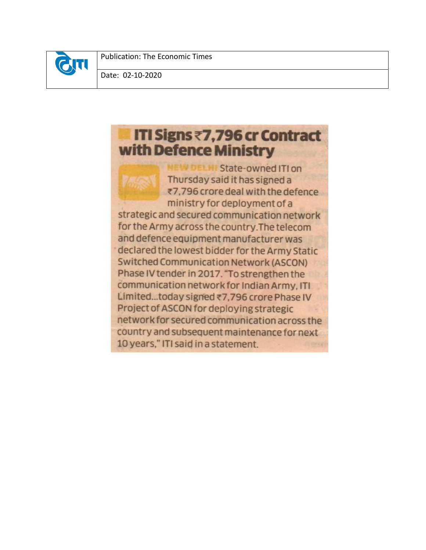

Publication: The Economic Times

Date: 02-10-2020

## ITI Signs ₹7,796 cr Contract with Defence Ministry

State-owned ITI on Thursday said it has signed a ₹7,796 crore deal with the defence ministry for deployment of a strategic and secured communication network for the Army across the country. The telecom and defence equipment manufacturer was declared the lowest bidder for the Army Static **Switched Communication Network (ASCON)** Phase IV tender in 2017. "To strengthen the communication network for Indian Army, ITI Limited...today signed ₹7,796 crore Phase IV Project of ASCON for deploying strategic network for secured communication across the country and subsequent maintenance for next 10 years," ITI said in a statement.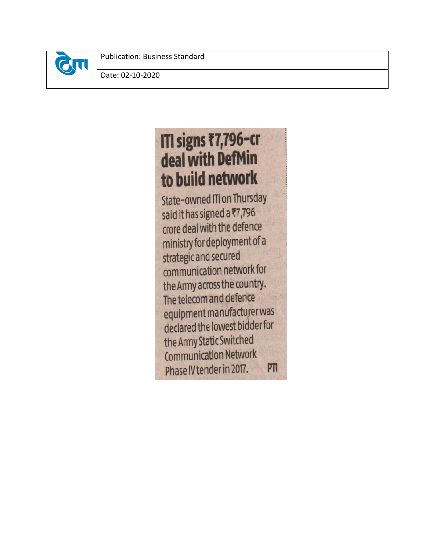

Publication: Business Standard

Date: 02-10-2020

# ITI signs ₹7,796-cr deal with DefMin to build network

State-owned ITI on Thursday said it has signed a ₹7,796 crore deal with the defence ministry for deployment of a strategic and secured communication network for the Army across the country. The telecom and defence equipment manufacturer was declared the lowest bidder for the Army Static Switched **Communication Network** Phase IV tender in 2017. PTI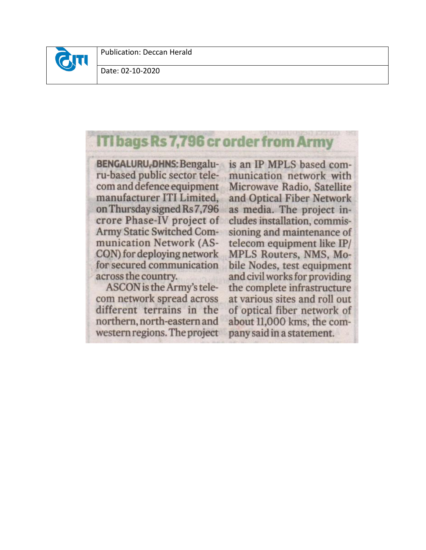

Date: 02-10-2020

## **ITI bags Rs 7,796 cr order from Army**

**BENGALURU, DHNS: Bengalu**ru-based public sector telecom and defence equipment manufacturer ITI Limited, on Thursday signed Rs 7,796 crore Phase-IV project of Army Static Switched Communication Network (AS-CON) for deploying network for secured communication across the country.

ASCON is the Army's telecom network spread across different terrains in the northern, north-eastern and western regions. The project is an IP MPLS based communication network with Microwave Radio, Satellite and Optical Fiber Network as media. The project includes installation, commissioning and maintenance of telecom equipment like IP/ MPLS Routers, NMS, Mobile Nodes, test equipment and civil works for providing the complete infrastructure at various sites and roll out of optical fiber network of about 11,000 kms, the company said in a statement.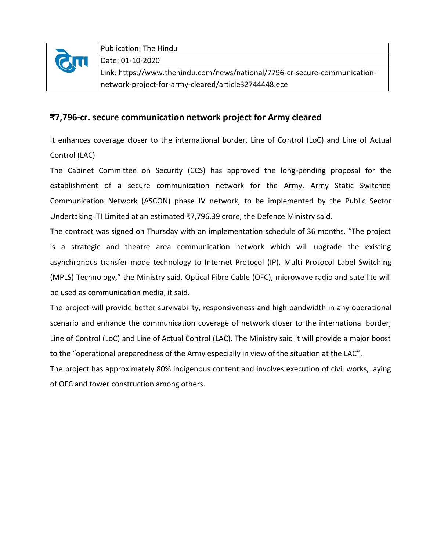

## **₹7,796-cr. secure communication network project for Army cleared**

It enhances coverage closer to the international border, Line of Control (LoC) and Line of Actual Control (LAC)

The Cabinet Committee on Security (CCS) has approved the long-pending proposal for the establishment of a secure communication network for the Army, Army Static Switched Communication Network (ASCON) phase IV network, to be implemented by the Public Sector Undertaking ITI Limited at an estimated ₹7,796.39 crore, the Defence Ministry said.

The contract was signed on Thursday with an implementation schedule of 36 months. "The project is a strategic and theatre area communication network which will upgrade the existing asynchronous transfer mode technology to Internet Protocol (IP), Multi Protocol Label Switching (MPLS) Technology," the Ministry said. Optical Fibre Cable (OFC), microwave radio and satellite will be used as communication media, it said.

The project will provide better survivability, responsiveness and high bandwidth in any operational scenario and enhance the communication coverage of network closer to the international border, Line of Control (LoC) and Line of Actual Control (LAC). The Ministry said it will provide a major boost to the "operational preparedness of the Army especially in view of the situation at the LAC".

The project has approximately 80% indigenous content and involves execution of civil works, laying of OFC and tower construction among others.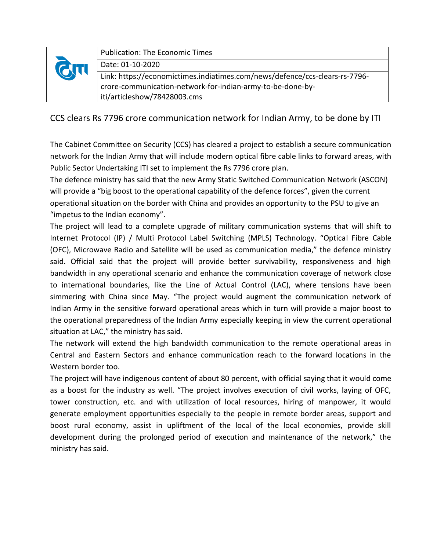| <b>GTT</b> | <b>Publication: The Economic Times</b>                                      |
|------------|-----------------------------------------------------------------------------|
|            | Date: 01-10-2020                                                            |
|            | Link: https://economictimes.indiatimes.com/news/defence/ccs-clears-rs-7796- |
|            | crore-communication-network-for-indian-army-to-be-done-by-                  |
|            | iti/articleshow/78428003.cms                                                |

CCS clears Rs 7796 crore communication network for Indian Army, to be done by ITI

The Cabinet Committee on Security (CCS) has cleared a project to establish a secure communication network for the Indian Army that will include modern optical fibre cable links to forward areas, with Public Sector Undertaking ITI set to implement the Rs 7796 crore plan.

The defence ministry has said that the new Army Static Switched Communication Network (ASCON) will provide a "big boost to the operational capability of the defence forces", given the current operational situation on the border with China and provides an opportunity to the PSU to give an "impetus to the Indian economy".

The project will lead to a complete upgrade of military communication systems that will shift to Internet Protocol (IP) / Multi Protocol Label Switching (MPLS) Technology. "Optical Fibre Cable (OFC), Microwave Radio and Satellite will be used as communication media," the defence ministry said. Official said that the project will provide better survivability, responsiveness and high bandwidth in any operational scenario and enhance the communication coverage of network close to international boundaries, like the Line of Actual Control (LAC), where tensions have been simmering with China since May. "The project would augment the communication network of Indian Army in the sensitive forward operational areas which in turn will provide a major boost to the operational preparedness of the Indian Army especially keeping in view the current operational situation at LAC," the ministry has said.

The network will extend the high bandwidth communication to the remote operational areas in Central and Eastern Sectors and enhance communication reach to the forward locations in the Western border too.

The project will have indigenous content of about 80 percent, with official saying that it would come as a boost for the industry as well. "The project involves execution of civil works, laying of OFC, tower construction, etc. and with utilization of local resources, hiring of manpower, it would generate employment opportunities especially to the people in remote border areas, support and boost rural economy, assist in upliftment of the local of the local economies, provide skill development during the prolonged period of execution and maintenance of the network," the ministry has said.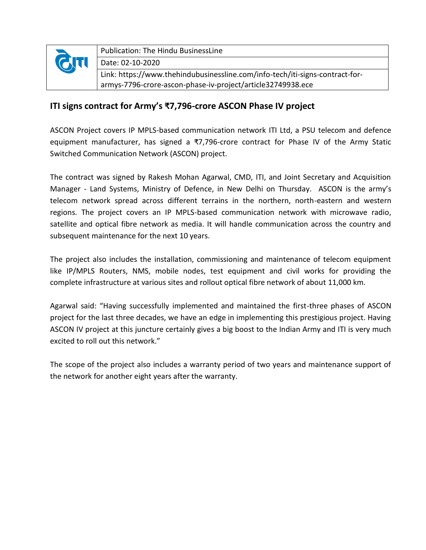

## **ITI signs contract for Army's ₹7,796-crore ASCON Phase IV project**

ASCON Project covers IP MPLS-based communication network ITI Ltd, a PSU telecom and defence equipment manufacturer, has signed a  $\overline{37,796}$ -crore contract for Phase IV of the Army Static Switched Communication Network (ASCON) project.

The contract was signed by Rakesh Mohan Agarwal, CMD, ITI, and Joint Secretary and Acquisition Manager - Land Systems, Ministry of Defence, in New Delhi on Thursday. ASCON is the army's telecom network spread across different terrains in the northern, north-eastern and western regions. The project covers an IP MPLS-based communication network with microwave radio, satellite and optical fibre network as media. It will handle communication across the country and subsequent maintenance for the next 10 years.

The project also includes the installation, commissioning and maintenance of telecom equipment like IP/MPLS Routers, NMS, mobile nodes, test equipment and civil works for providing the complete infrastructure at various sites and rollout optical fibre network of about 11,000 km.

Agarwal said: "Having successfully implemented and maintained the first-three phases of ASCON project for the last three decades, we have an edge in implementing this prestigious project. Having ASCON IV project at this juncture certainly gives a big boost to the Indian Army and ITI is very much excited to roll out this network."

The scope of the project also includes a warranty period of two years and maintenance support of the network for another eight years after the warranty.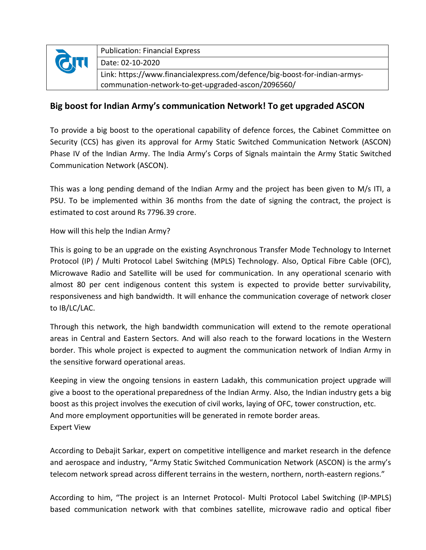

## **Big boost for Indian Army's communication Network! To get upgraded ASCON**

To provide a big boost to the operational capability of defence forces, the Cabinet Committee on Security (CCS) has given its approval for Army Static Switched Communication Network (ASCON) Phase IV of the Indian Army. The India Army's Corps of Signals maintain the Army Static Switched Communication Network (ASCON).

This was a long pending demand of the Indian Army and the project has been given to M/s ITI, a PSU. To be implemented within 36 months from the date of signing the contract, the project is estimated to cost around Rs 7796.39 crore.

#### How will this help the Indian Army?

This is going to be an upgrade on the existing Asynchronous Transfer Mode Technology to Internet Protocol (IP) / Multi Protocol Label Switching (MPLS) Technology. Also, Optical Fibre Cable (OFC), Microwave Radio and Satellite will be used for communication. In any operational scenario with almost 80 per cent indigenous content this system is expected to provide better survivability, responsiveness and high bandwidth. It will enhance the communication coverage of network closer to IB/LC/LAC.

Through this network, the high bandwidth communication will extend to the remote operational areas in Central and Eastern Sectors. And will also reach to the forward locations in the Western border. This whole project is expected to augment the communication network of Indian Army in the sensitive forward operational areas.

Keeping in view the ongoing tensions in eastern Ladakh, this communication project upgrade will give a boost to the operational preparedness of the Indian Army. Also, the Indian industry gets a big boost as this project involves the execution of civil works, laying of OFC, tower construction, etc. And more employment opportunities will be generated in remote border areas. Expert View

According to Debajit Sarkar, expert on competitive intelligence and market research in the defence and aerospace and industry, "Army Static Switched Communication Network (ASCON) is the army's telecom network spread across different terrains in the western, northern, north-eastern regions."

According to him, "The project is an Internet Protocol- Multi Protocol Label Switching (IP-MPLS) based communication network with that combines satellite, microwave radio and optical fiber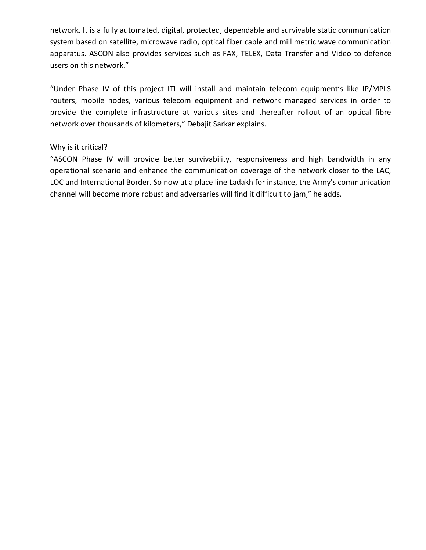network. It is a fully automated, digital, protected, dependable and survivable static communication system based on satellite, microwave radio, optical fiber cable and mill metric wave communication apparatus. ASCON also provides services such as FAX, TELEX, Data Transfer and Video to defence users on this network."

"Under Phase IV of this project ITI will install and maintain telecom equipment's like IP/MPLS routers, mobile nodes, various telecom equipment and network managed services in order to provide the complete infrastructure at various sites and thereafter rollout of an optical fibre network over thousands of kilometers," Debajit Sarkar explains.

#### Why is it critical?

"ASCON Phase IV will provide better survivability, responsiveness and high bandwidth in any operational scenario and enhance the communication coverage of the network closer to the LAC, LOC and International Border. So now at a place line Ladakh for instance, the Army's communication channel will become more robust and adversaries will find it difficult to jam," he adds.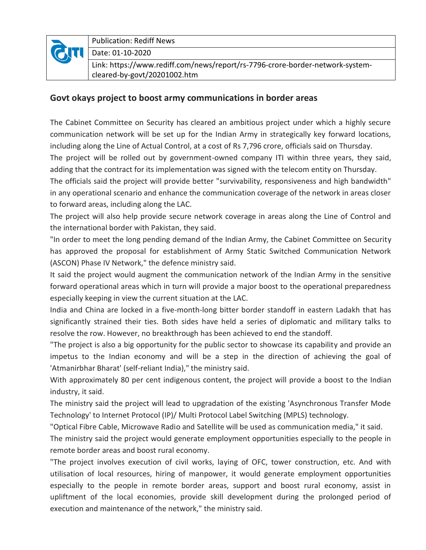

Publication: Rediff News

Date: 01-10-2020

Link: https://www.rediff.com/news/report/rs-7796-crore-border-network-systemcleared-by-govt/20201002.htm

## **Govt okays project to boost army communications in border areas**

The Cabinet Committee on Security has cleared an ambitious project under which a highly secure communication network will be set up for the Indian Army in strategically key forward locations, including along the Line of Actual Control, at a cost of Rs 7,796 crore, officials said on Thursday.

The project will be rolled out by government-owned company ITI within three years, they said, adding that the contract for its implementation was signed with the telecom entity on Thursday.

The officials said the project will provide better "survivability, responsiveness and high bandwidth" in any operational scenario and enhance the communication coverage of the network in areas closer to forward areas, including along the LAC.

The project will also help provide secure network coverage in areas along the Line of Control and the international border with Pakistan, they said.

"In order to meet the long pending demand of the Indian Army, the Cabinet Committee on Security has approved the proposal for establishment of Army Static Switched Communication Network (ASCON) Phase IV Network," the defence ministry said.

It said the project would augment the communication network of the Indian Army in the sensitive forward operational areas which in turn will provide a major boost to the operational preparedness especially keeping in view the current situation at the LAC.

India and China are locked in a five-month-long bitter border standoff in eastern Ladakh that has significantly strained their ties. Both sides have held a series of diplomatic and military talks to resolve the row. However, no breakthrough has been achieved to end the standoff.

"The project is also a big opportunity for the public sector to showcase its capability and provide an impetus to the Indian economy and will be a step in the direction of achieving the goal of 'Atmanirbhar Bharat' (self-reliant India)," the ministry said.

With approximately 80 per cent indigenous content, the project will provide a boost to the Indian industry, it said.

The ministry said the project will lead to upgradation of the existing 'Asynchronous Transfer Mode Technology' to Internet Protocol (IP)/ Multi Protocol Label Switching (MPLS) technology.

"Optical Fibre Cable, Microwave Radio and Satellite will be used as communication media," it said.

The ministry said the project would generate employment opportunities especially to the people in remote border areas and boost rural economy.

"The project involves execution of civil works, laying of OFC, tower construction, etc. And with utilisation of local resources, hiring of manpower, it would generate employment opportunities especially to the people in remote border areas, support and boost rural economy, assist in upliftment of the local economies, provide skill development during the prolonged period of execution and maintenance of the network," the ministry said.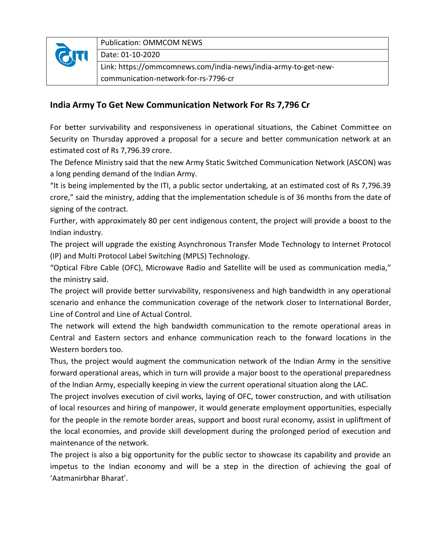

Publication: OMMCOM NEWS

Date: 01-10-2020

Link: https://ommcomnews.com/india-news/india-army-to-get-newcommunication-network-for-rs-7796-cr

## **India Army To Get New Communication Network For Rs 7,796 Cr**

For better survivability and responsiveness in operational situations, the Cabinet Committee on Security on Thursday approved a proposal for a secure and better communication network at an estimated cost of Rs 7,796.39 crore.

The Defence Ministry said that the new Army Static Switched Communication Network (ASCON) was a long pending demand of the Indian Army.

"It is being implemented by the ITI, a public sector undertaking, at an estimated cost of Rs 7,796.39 crore," said the ministry, adding that the implementation schedule is of 36 months from the date of signing of the contract.

Further, with approximately 80 per cent indigenous content, the project will provide a boost to the Indian industry.

The project will upgrade the existing Asynchronous Transfer Mode Technology to Internet Protocol (IP) and Multi Protocol Label Switching (MPLS) Technology.

"Optical Fibre Cable (OFC), Microwave Radio and Satellite will be used as communication media," the ministry said.

The project will provide better survivability, responsiveness and high bandwidth in any operational scenario and enhance the communication coverage of the network closer to International Border, Line of Control and Line of Actual Control.

The network will extend the high bandwidth communication to the remote operational areas in Central and Eastern sectors and enhance communication reach to the forward locations in the Western borders too.

Thus, the project would augment the communication network of the Indian Army in the sensitive forward operational areas, which in turn will provide a major boost to the operational preparedness of the Indian Army, especially keeping in view the current operational situation along the LAC.

The project involves execution of civil works, laying of OFC, tower construction, and with utilisation of local resources and hiring of manpower, it would generate employment opportunities, especially for the people in the remote border areas, support and boost rural economy, assist in upliftment of the local economies, and provide skill development during the prolonged period of execution and maintenance of the network.

The project is also a big opportunity for the public sector to showcase its capability and provide an impetus to the Indian economy and will be a step in the direction of achieving the goal of 'Aatmanirbhar Bharat'.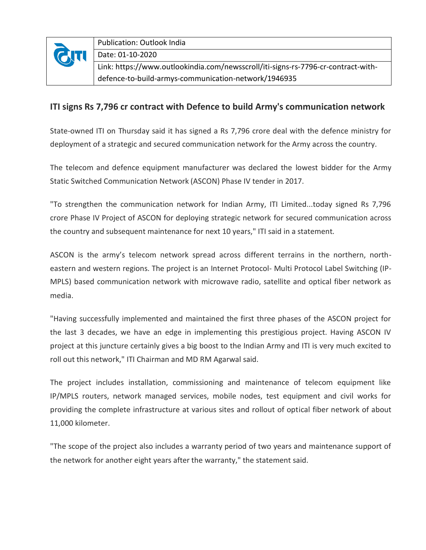

#### **ITI signs Rs 7,796 cr contract with Defence to build Army's communication network**

State-owned ITI on Thursday said it has signed a Rs 7,796 crore deal with the defence ministry for deployment of a strategic and secured communication network for the Army across the country.

The telecom and defence equipment manufacturer was declared the lowest bidder for the Army Static Switched Communication Network (ASCON) Phase IV tender in 2017.

"To strengthen the communication network for Indian Army, ITI Limited...today signed Rs 7,796 crore Phase IV Project of ASCON for deploying strategic network for secured communication across the country and subsequent maintenance for next 10 years," ITI said in a statement.

ASCON is the army's telecom network spread across different terrains in the northern, northeastern and western regions. The project is an Internet Protocol- Multi Protocol Label Switching (IP-MPLS) based communication network with microwave radio, satellite and optical fiber network as media.

"Having successfully implemented and maintained the first three phases of the ASCON project for the last 3 decades, we have an edge in implementing this prestigious project. Having ASCON IV project at this juncture certainly gives a big boost to the Indian Army and ITI is very much excited to roll out this network," ITI Chairman and MD RM Agarwal said.

The project includes installation, commissioning and maintenance of telecom equipment like IP/MPLS routers, network managed services, mobile nodes, test equipment and civil works for providing the complete infrastructure at various sites and rollout of optical fiber network of about 11,000 kilometer.

"The scope of the project also includes a warranty period of two years and maintenance support of the network for another eight years after the warranty," the statement said.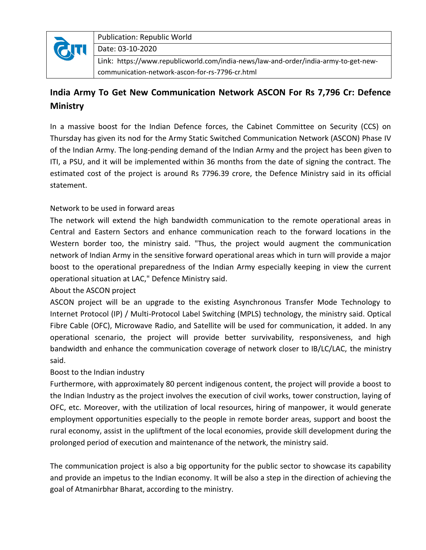

Publication: Republic World

Date: 03-10-2020

Link: https://www.republicworld.com/india-news/law-and-order/india-army-to-get-newcommunication-network-ascon-for-rs-7796-cr.html

## **India Army To Get New Communication Network ASCON For Rs 7,796 Cr: Defence Ministry**

In a massive boost for the Indian Defence forces, the Cabinet Committee on Security (CCS) on Thursday has given its nod for the Army Static Switched Communication Network (ASCON) Phase IV of the Indian Army. The long-pending demand of the Indian Army and the project has been given to ITI, a PSU, and it will be implemented within 36 months from the date of signing the contract. The estimated cost of the project is around Rs 7796.39 crore, the Defence Ministry said in its official statement.

## Network to be used in forward areas

The network will extend the high bandwidth communication to the remote operational areas in Central and Eastern Sectors and enhance communication reach to the forward locations in the Western border too, the ministry said. "Thus, the project would augment the communication network of Indian Army in the sensitive forward operational areas which in turn will provide a major boost to the operational preparedness of the Indian Army especially keeping in view the current operational situation at LAC," Defence Ministry said.

## About the ASCON project

ASCON project will be an upgrade to the existing Asynchronous Transfer Mode Technology to Internet Protocol (IP) / Multi-Protocol Label Switching (MPLS) technology, the ministry said. Optical Fibre Cable (OFC), Microwave Radio, and Satellite will be used for communication, it added. In any operational scenario, the project will provide better survivability, responsiveness, and high bandwidth and enhance the communication coverage of network closer to IB/LC/LAC, the ministry said.

## Boost to the Indian industry

Furthermore, with approximately 80 percent indigenous content, the project will provide a boost to the Indian Industry as the project involves the execution of civil works, tower construction, laying of OFC, etc. Moreover, with the utilization of local resources, hiring of manpower, it would generate employment opportunities especially to the people in remote border areas, support and boost the rural economy, assist in the upliftment of the local economies, provide skill development during the prolonged period of execution and maintenance of the network, the ministry said.

The communication project is also a big opportunity for the public sector to showcase its capability and provide an impetus to the Indian economy. It will be also a step in the direction of achieving the goal of Atmanirbhar Bharat, according to the ministry.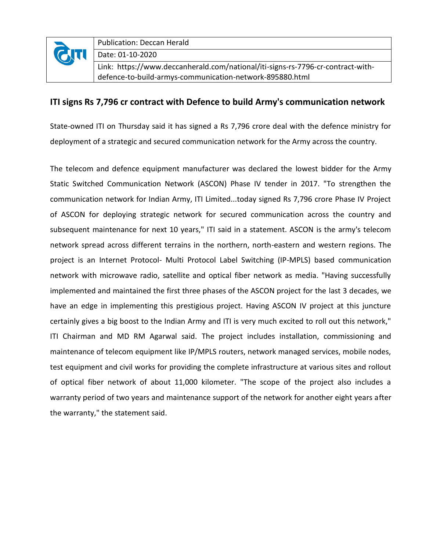

Publication: Deccan Herald

Date: 01-10-2020

Link: https://www.deccanherald.com/national/iti-signs-rs-7796-cr-contract-withdefence-to-build-armys-communication-network-895880.html

#### **ITI signs Rs 7,796 cr contract with Defence to build Army's communication network**

State-owned ITI on Thursday said it has signed a Rs 7,796 crore deal with the defence ministry for deployment of a strategic and secured communication network for the Army across the country.

The telecom and defence equipment manufacturer was declared the lowest bidder for the Army Static Switched Communication Network (ASCON) Phase IV tender in 2017. "To strengthen the communication network for Indian Army, ITI Limited...today signed Rs 7,796 crore Phase IV Project of ASCON for deploying strategic network for secured communication across the country and subsequent maintenance for next 10 years," ITI said in a statement. ASCON is the army's telecom network spread across different terrains in the northern, north-eastern and western regions. The project is an Internet Protocol- Multi Protocol Label Switching (IP-MPLS) based communication network with microwave radio, satellite and optical fiber network as media. "Having successfully implemented and maintained the first three phases of the ASCON project for the last 3 decades, we have an edge in implementing this prestigious project. Having ASCON IV project at this juncture certainly gives a big boost to the Indian Army and ITI is very much excited to roll out this network," ITI Chairman and MD RM Agarwal said. The project includes installation, commissioning and maintenance of telecom equipment like IP/MPLS routers, network managed services, mobile nodes, test equipment and civil works for providing the complete infrastructure at various sites and rollout of optical fiber network of about 11,000 kilometer. "The scope of the project also includes a warranty period of two years and maintenance support of the network for another eight years after the warranty," the statement said.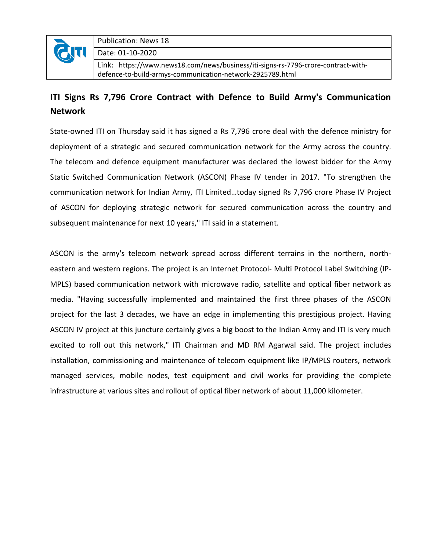

Publication: News 18

Date: 01-10-2020

Link: https://www.news18.com/news/business/iti-signs-rs-7796-crore-contract-withdefence-to-build-armys-communication-network-2925789.html

## **ITI Signs Rs 7,796 Crore Contract with Defence to Build Army's Communication Network**

State-owned ITI on Thursday said it has signed a Rs 7,796 crore deal with the defence ministry for deployment of a strategic and secured communication network for the Army across the country. The telecom and defence equipment manufacturer was declared the lowest bidder for the Army Static Switched Communication Network (ASCON) Phase IV tender in 2017. "To strengthen the communication network for Indian Army, ITI Limited…today signed Rs 7,796 crore Phase IV Project of ASCON for deploying strategic network for secured communication across the country and subsequent maintenance for next 10 years," ITI said in a statement.

ASCON is the army's telecom network spread across different terrains in the northern, northeastern and western regions. The project is an Internet Protocol- Multi Protocol Label Switching (IP-MPLS) based communication network with microwave radio, satellite and optical fiber network as media. "Having successfully implemented and maintained the first three phases of the ASCON project for the last 3 decades, we have an edge in implementing this prestigious project. Having ASCON IV project at this juncture certainly gives a big boost to the Indian Army and ITI is very much excited to roll out this network," ITI Chairman and MD RM Agarwal said. The project includes installation, commissioning and maintenance of telecom equipment like IP/MPLS routers, network managed services, mobile nodes, test equipment and civil works for providing the complete infrastructure at various sites and rollout of optical fiber network of about 11,000 kilometer.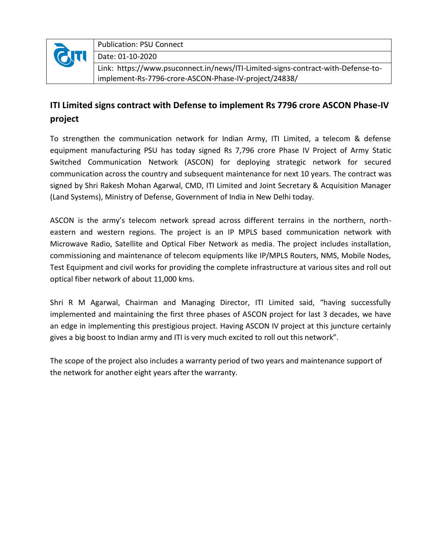

Publication: PSU Connect

Date: 01-10-2020

Link: https://www.psuconnect.in/news/ITI-Limited-signs-contract-with-Defense-toimplement-Rs-7796-crore-ASCON-Phase-IV-project/24838/

## **ITI Limited signs contract with Defense to implement Rs 7796 crore ASCON Phase-IV project**

To strengthen the communication network for Indian Army, ITI Limited, a telecom & defense equipment manufacturing PSU has today signed Rs 7,796 crore Phase IV Project of Army Static Switched Communication Network (ASCON) for deploying strategic network for secured communication across the country and subsequent maintenance for next 10 years. The contract was signed by Shri Rakesh Mohan Agarwal, CMD, ITI Limited and Joint Secretary & Acquisition Manager (Land Systems), Ministry of Defense, Government of India in New Delhi today.

ASCON is the army's telecom network spread across different terrains in the northern, northeastern and western regions. The project is an IP MPLS based communication network with Microwave Radio, Satellite and Optical Fiber Network as media. The project includes installation, commissioning and maintenance of telecom equipments like IP/MPLS Routers, NMS, Mobile Nodes, Test Equipment and civil works for providing the complete infrastructure at various sites and roll out optical fiber network of about 11,000 kms.

Shri R M Agarwal, Chairman and Managing Director, ITI Limited said, "having successfully implemented and maintaining the first three phases of ASCON project for last 3 decades, we have an edge in implementing this prestigious project. Having ASCON IV project at this juncture certainly gives a big boost to Indian army and ITI is very much excited to roll out this network".

The scope of the project also includes a warranty period of two years and maintenance support of the network for another eight years after the warranty.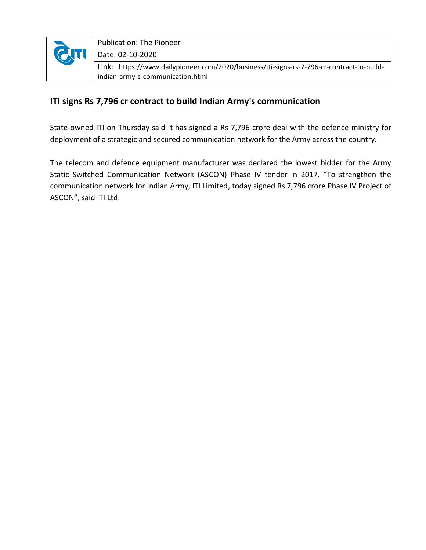

## **ITI signs Rs 7,796 cr contract to build Indian Army's communication**

State-owned ITI on Thursday said it has signed a Rs 7,796 crore deal with the defence ministry for deployment of a strategic and secured communication network for the Army across the country.

The telecom and defence equipment manufacturer was declared the lowest bidder for the Army Static Switched Communication Network (ASCON) Phase IV tender in 2017. "To strengthen the communication network for Indian Army, ITI Limited, today signed Rs 7,796 crore Phase IV Project of ASCON", said ITI Ltd.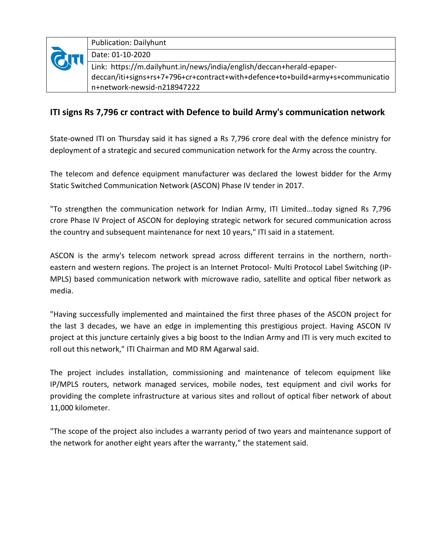

Publication: Dailyhunt Date: 01-10-2020 Link: https://m.dailyhunt.in/news/india/english/deccan+herald-epaperdeccan/iti+signs+rs+7+796+cr+contract+with+defence+to+build+army+s+communicatio n+network-newsid-n218947222

## **ITI signs Rs 7,796 cr contract with Defence to build Army's communication network**

State-owned ITI on Thursday said it has signed a Rs 7,796 crore deal with the defence ministry for deployment of a strategic and secured communication network for the Army across the country.

The telecom and defence equipment manufacturer was declared the lowest bidder for the Army Static Switched Communication Network (ASCON) Phase IV tender in 2017.

"To strengthen the communication network for Indian Army, ITI Limited...today signed Rs 7,796 crore Phase IV Project of ASCON for deploying strategic network for secured communication across the country and subsequent maintenance for next 10 years," ITI said in a statement.

ASCON is the army's telecom network spread across different terrains in the northern, northeastern and western regions. The project is an Internet Protocol- Multi Protocol Label Switching (IP-MPLS) based communication network with microwave radio, satellite and optical fiber network as media.

"Having successfully implemented and maintained the first three phases of the ASCON project for the last 3 decades, we have an edge in implementing this prestigious project. Having ASCON IV project at this juncture certainly gives a big boost to the Indian Army and ITI is very much excited to roll out this network," ITI Chairman and MD RM Agarwal said.

The project includes installation, commissioning and maintenance of telecom equipment like IP/MPLS routers, network managed services, mobile nodes, test equipment and civil works for providing the complete infrastructure at various sites and rollout of optical fiber network of about 11,000 kilometer.

"The scope of the project also includes a warranty period of two years and maintenance support of the network for another eight years after the warranty," the statement said.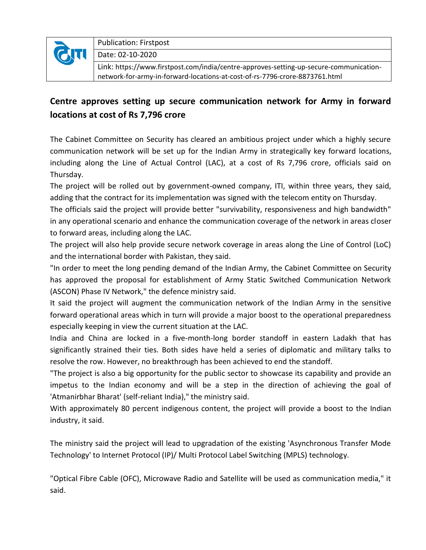

Publication: Firstpost

Date: 02-10-2020

Link: [https://www.firstpost.com/india/centre-approves-setting-up-secure-communication](https://www.firstpost.com/india/centre-approves-setting-up-secure-communication-network-for-army-in-forward-locations-at-cost-of-rs-7796-crore-8873761.html)[network-for-army-in-forward-locations-at-cost-of-rs-7796-crore-8873761.html](https://www.firstpost.com/india/centre-approves-setting-up-secure-communication-network-for-army-in-forward-locations-at-cost-of-rs-7796-crore-8873761.html)

## **Centre approves setting up secure communication network for Army in forward locations at cost of Rs 7,796 crore**

The Cabinet Committee on Security has cleared an ambitious project under which a highly secure communication network will be set up for the Indian Army in strategically key forward locations, including along the Line of Actual Control (LAC), at a cost of Rs 7,796 crore, officials said on Thursday.

The project will be rolled out by government-owned company, ITI, within three years, they said, adding that the contract for its implementation was signed with the telecom entity on Thursday.

The officials said the project will provide better "survivability, responsiveness and high bandwidth" in any operational scenario and enhance the communication coverage of the network in areas closer to forward areas, including along the LAC.

The project will also help provide secure network coverage in areas along the Line of Control (LoC) and the international border with Pakistan, they said.

"In order to meet the long pending demand of the Indian Army, the Cabinet Committee on Security has approved the proposal for establishment of Army Static Switched Communication Network (ASCON) Phase IV Network," the defence ministry said.

It said the project will augment the communication network of the Indian Army in the sensitive forward operational areas which in turn will provide a major boost to the operational preparedness especially keeping in view the current situation at the LAC.

India and China are locked in a five-month-long border standoff in eastern Ladakh that has significantly strained their ties. Both sides have held a series of diplomatic and military talks to resolve the row. However, no breakthrough has been achieved to end the standoff.

"The project is also a big opportunity for the public sector to showcase its capability and provide an impetus to the Indian economy and will be a step in the direction of achieving the goal of 'Atmanirbhar Bharat' (self-reliant India)," the ministry said.

With approximately 80 percent indigenous content, the project will provide a boost to the Indian industry, it said.

The ministry said the project will lead to upgradation of the existing 'Asynchronous Transfer Mode Technology' to Internet Protocol (IP)/ Multi Protocol Label Switching (MPLS) technology.

"Optical Fibre Cable (OFC), Microwave Radio and Satellite will be used as communication media," it said.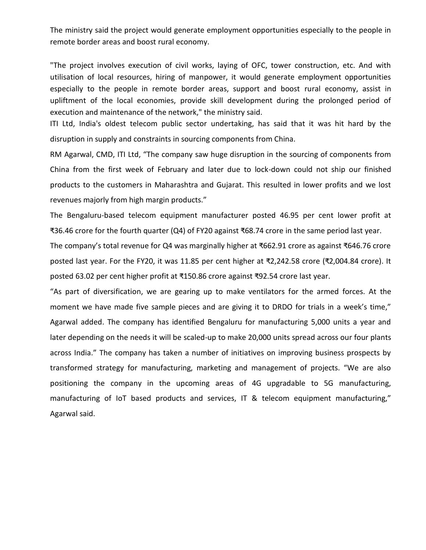The ministry said the project would generate employment opportunities especially to the people in remote border areas and boost rural economy.

"The project involves execution of civil works, laying of OFC, tower construction, etc. And with utilisation of local resources, hiring of manpower, it would generate employment opportunities especially to the people in remote border areas, support and boost rural economy, assist in upliftment of the local economies, provide skill development during the prolonged period of execution and maintenance of the network," the ministry said.

ITI Ltd, India's oldest telecom public sector undertaking, has said that it was hit hard by the disruption in supply and constraints in sourcing components from China.

RM Agarwal, CMD, ITI Ltd, "The company saw huge disruption in the sourcing of components from China from the first week of February and later due to lock-down could not ship our finished products to the customers in Maharashtra and Gujarat. This resulted in lower profits and we lost revenues majorly from high margin products."

The Bengaluru-based telecom equipment manufacturer posted 46.95 per cent lower profit at ₹36.46 crore for the fourth quarter (Q4) of FY20 against ₹68.74 crore in the same period last year.

The company's total revenue for Q4 was marginally higher at ₹662.91 crore as against ₹646.76 crore posted last year. For the FY20, it was 11.85 per cent higher at ₹2,242.58 crore (₹2,004.84 crore). It posted 63.02 per cent higher profit at ₹150.86 crore against ₹92.54 crore last year.

"As part of diversification, we are gearing up to make ventilators for the armed forces. At the moment we have made five sample pieces and are giving it to DRDO for trials in a week's time," Agarwal added. The company has identified Bengaluru for manufacturing 5,000 units a year and later depending on the needs it will be scaled-up to make 20,000 units spread across our four plants across India." The company has taken a number of initiatives on improving business prospects by transformed strategy for manufacturing, marketing and management of projects. "We are also positioning the company in the upcoming areas of 4G upgradable to 5G manufacturing, manufacturing of IoT based products and services, IT & telecom equipment manufacturing," Agarwal said.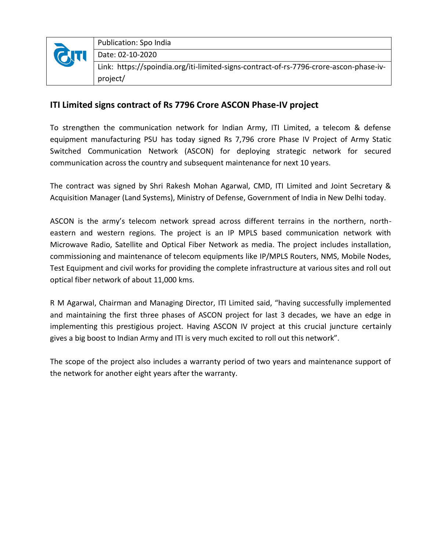|  | Publication: Spo India                                                                 |
|--|----------------------------------------------------------------------------------------|
|  | Date: 02-10-2020                                                                       |
|  | Link: https://spoindia.org/iti-limited-signs-contract-of-rs-7796-crore-ascon-phase-iv- |
|  | project/                                                                               |

## **ITI Limited signs contract of Rs 7796 Crore ASCON Phase-IV project**

To strengthen the communication network for Indian Army, ITI Limited, a telecom & defense equipment manufacturing PSU has today signed Rs 7,796 crore Phase IV Project of Army Static Switched Communication Network (ASCON) for deploying strategic network for secured communication across the country and subsequent maintenance for next 10 years.

The contract was signed by Shri Rakesh Mohan Agarwal, CMD, ITI Limited and Joint Secretary & Acquisition Manager (Land Systems), Ministry of Defense, Government of India in New Delhi today.

ASCON is the army's telecom network spread across different terrains in the northern, northeastern and western regions. The project is an IP MPLS based communication network with Microwave Radio, Satellite and Optical Fiber Network as media. The project includes installation, commissioning and maintenance of telecom equipments like IP/MPLS Routers, NMS, Mobile Nodes, Test Equipment and civil works for providing the complete infrastructure at various sites and roll out optical fiber network of about 11,000 kms.

R M Agarwal, Chairman and Managing Director, ITI Limited said, "having successfully implemented and maintaining the first three phases of ASCON project for last 3 decades, we have an edge in implementing this prestigious project. Having ASCON IV project at this crucial juncture certainly gives a big boost to Indian Army and ITI is very much excited to roll out this network".

The scope of the project also includes a warranty period of two years and maintenance support of the network for another eight years after the warranty.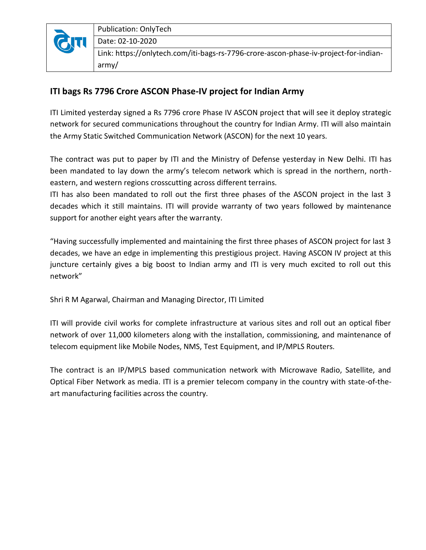

Publication: OnlyTech

Date: 02-10-2020

Link: https://onlytech.com/iti-bags-rs-7796-crore-ascon-phase-iv-project-for-indianarmy/

## **ITI bags Rs 7796 Crore ASCON Phase-IV project for Indian Army**

ITI Limited yesterday signed a Rs 7796 crore Phase IV ASCON project that will see it deploy strategic network for secured communications throughout the country for Indian Army. ITI will also maintain the Army Static Switched Communication Network (ASCON) for the next 10 years.

The contract was put to paper by ITI and the Ministry of Defense yesterday in New Delhi. ITI has been mandated to lay down the army's telecom network which is spread in the northern, northeastern, and western regions crosscutting across different terrains.

ITI has also been mandated to roll out the first three phases of the ASCON project in the last 3 decades which it still maintains. ITI will provide warranty of two years followed by maintenance support for another eight years after the warranty.

"Having successfully implemented and maintaining the first three phases of ASCON project for last 3 decades, we have an edge in implementing this prestigious project. Having ASCON IV project at this juncture certainly gives a big boost to Indian army and ITI is very much excited to roll out this network"

Shri R M Agarwal, Chairman and Managing Director, ITI Limited

ITI will provide civil works for complete infrastructure at various sites and roll out an optical fiber network of over 11,000 kilometers along with the installation, commissioning, and maintenance of telecom equipment like Mobile Nodes, NMS, Test Equipment, and IP/MPLS Routers.

The contract is an IP/MPLS based communication network with Microwave Radio, Satellite, and Optical Fiber Network as media. ITI is a premier telecom company in the country with state-of-theart manufacturing facilities across the country.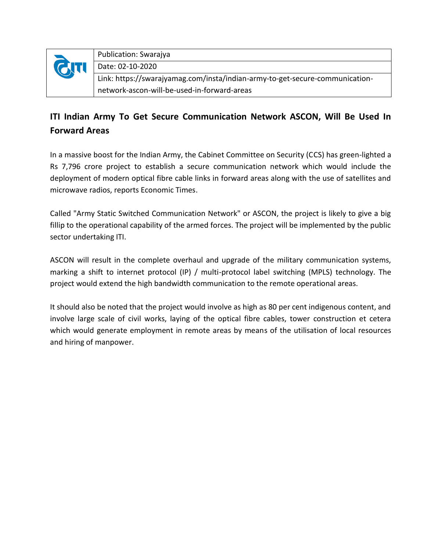| <b>QTI</b> | Publication: Swarajya                                                        |
|------------|------------------------------------------------------------------------------|
|            | Date: 02-10-2020                                                             |
|            | Link: https://swarajyamag.com/insta/indian-army-to-get-secure-communication- |
|            | network-ascon-will-be-used-in-forward-areas                                  |

## **ITI Indian Army To Get Secure Communication Network ASCON, Will Be Used In Forward Areas**

In a massive boost for the Indian Army, the Cabinet Committee on Security (CCS) has green-lighted a Rs 7,796 crore project to establish a secure communication network which would include the deployment of modern optical fibre cable links in forward areas along with the use of satellites and microwave radios, reports Economic Times.

Called "Army Static Switched Communication Network" or ASCON, the project is likely to give a big fillip to the operational capability of the armed forces. The project will be implemented by the public sector undertaking ITI.

ASCON will result in the complete overhaul and upgrade of the military communication systems, marking a shift to internet protocol (IP) / multi-protocol label switching (MPLS) technology. The project would extend the high bandwidth communication to the remote operational areas.

It should also be noted that the project would involve as high as 80 per cent indigenous content, and involve large scale of civil works, laying of the optical fibre cables, tower construction et cetera which would generate employment in remote areas by means of the utilisation of local resources and hiring of manpower.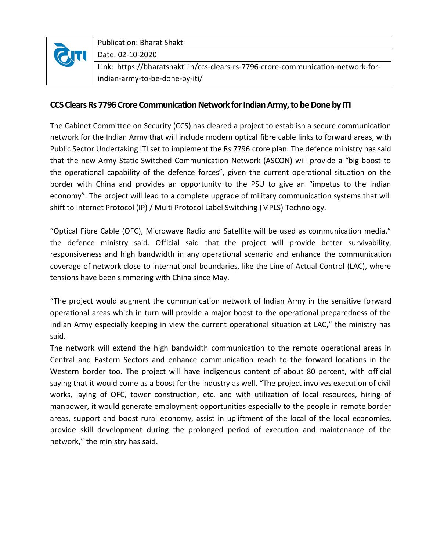| <b>QTI</b> | <b>Publication: Bharat Shakti</b>                                                 |
|------------|-----------------------------------------------------------------------------------|
|            | Date: 02-10-2020                                                                  |
|            | Link: https://bharatshakti.in/ccs-clears-rs-7796-crore-communication-network-for- |
|            | indian-army-to-be-done-by-iti/                                                    |

## **CCS Clears Rs 7796 Crore Communication Network for Indian Army, to be Done by ITI**

The Cabinet Committee on Security (CCS) has cleared a project to establish a secure communication network for the Indian Army that will include modern optical fibre cable links to forward areas, with Public Sector Undertaking ITI set to implement the Rs 7796 crore plan. The defence ministry has said that the new Army Static Switched Communication Network (ASCON) will provide a "big boost to the operational capability of the defence forces", given the current operational situation on the border with China and provides an opportunity to the PSU to give an "impetus to the Indian economy". The project will lead to a complete upgrade of military communication systems that will shift to Internet Protocol (IP) / Multi Protocol Label Switching (MPLS) Technology.

"Optical Fibre Cable (OFC), Microwave Radio and Satellite will be used as communication media," the defence ministry said. Official said that the project will provide better survivability, responsiveness and high bandwidth in any operational scenario and enhance the communication coverage of network close to international boundaries, like the Line of Actual Control (LAC), where tensions have been simmering with China since May.

"The project would augment the communication network of Indian Army in the sensitive forward operational areas which in turn will provide a major boost to the operational preparedness of the Indian Army especially keeping in view the current operational situation at LAC," the ministry has said.

The network will extend the high bandwidth communication to the remote operational areas in Central and Eastern Sectors and enhance communication reach to the forward locations in the Western border too. The project will have indigenous content of about 80 percent, with official saying that it would come as a boost for the industry as well. "The project involves execution of civil works, laying of OFC, tower construction, etc. and with utilization of local resources, hiring of manpower, it would generate employment opportunities especially to the people in remote border areas, support and boost rural economy, assist in upliftment of the local of the local economies, provide skill development during the prolonged period of execution and maintenance of the network," the ministry has said.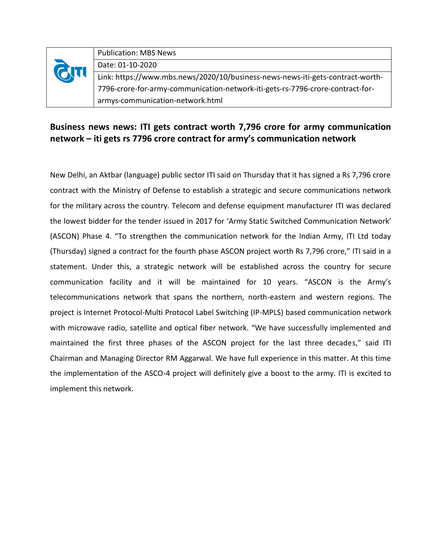|      | <b>Publication: MBS News</b>                                                   |
|------|--------------------------------------------------------------------------------|
|      | Date: 01-10-2020                                                               |
| GITI | Link: https://www.mbs.news/2020/10/business-news-news-iti-gets-contract-worth- |
|      | 7796-crore-for-army-communication-network-iti-gets-rs-7796-crore-contract-for- |
|      | armys-communication-network.html                                               |

## **Business news news: ITI gets contract worth 7,796 crore for army communication network – iti gets rs 7796 crore contract for army's communication network**

New Delhi, an Aktbar (language) public sector ITI said on Thursday that it has signed a Rs 7,796 crore contract with the Ministry of Defense to establish a strategic and secure communications network for the military across the country. Telecom and defense equipment manufacturer ITI was declared the lowest bidder for the tender issued in 2017 for 'Army Static Switched Communication Network' (ASCON) Phase 4. "To strengthen the communication network for the Indian Army, ITI Ltd today (Thursday) signed a contract for the fourth phase ASCON project worth Rs 7,796 crore," ITI said in a statement. Under this, a strategic network will be established across the country for secure communication facility and it will be maintained for 10 years. "ASCON is the Army's telecommunications network that spans the northern, north-eastern and western regions. The project is Internet Protocol-Multi Protocol Label Switching (IP-MPLS) based communication network with microwave radio, satellite and optical fiber network. "We have successfully implemented and maintained the first three phases of the ASCON project for the last three decades," said ITI Chairman and Managing Director RM Aggarwal. We have full experience in this matter. At this time the implementation of the ASCO-4 project will definitely give a boost to the army. ITI is excited to implement this network.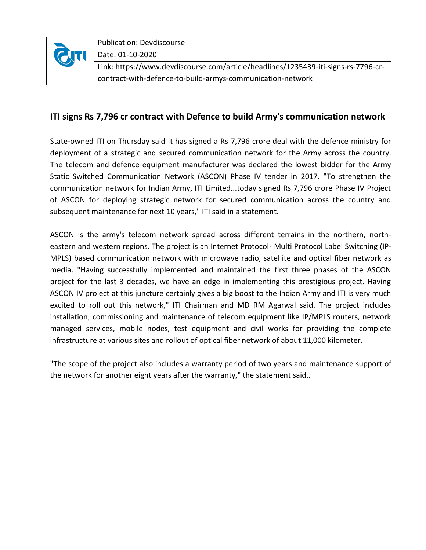| GTT | <b>Publication: Devdiscourse</b>                                                   |
|-----|------------------------------------------------------------------------------------|
|     | Date: 01-10-2020                                                                   |
|     | Link: https://www.devdiscourse.com/article/headlines/1235439-iti-signs-rs-7796-cr- |
|     | contract-with-defence-to-build-armys-communication-network                         |

## **ITI signs Rs 7,796 cr contract with Defence to build Army's communication network**

State-owned ITI on Thursday said it has signed a Rs 7,796 crore deal with the defence ministry for deployment of a strategic and secured communication network for the Army across the country. The telecom and defence equipment manufacturer was declared the lowest bidder for the Army Static Switched Communication Network (ASCON) Phase IV tender in 2017. "To strengthen the communication network for Indian Army, ITI Limited...today signed Rs 7,796 crore Phase IV Project of ASCON for deploying strategic network for secured communication across the country and subsequent maintenance for next 10 years," ITI said in a statement.

ASCON is the army's telecom network spread across different terrains in the northern, northeastern and western regions. The project is an Internet Protocol- Multi Protocol Label Switching (IP-MPLS) based communication network with microwave radio, satellite and optical fiber network as media. "Having successfully implemented and maintained the first three phases of the ASCON project for the last 3 decades, we have an edge in implementing this prestigious project. Having ASCON IV project at this juncture certainly gives a big boost to the Indian Army and ITI is very much excited to roll out this network," ITI Chairman and MD RM Agarwal said. The project includes installation, commissioning and maintenance of telecom equipment like IP/MPLS routers, network managed services, mobile nodes, test equipment and civil works for providing the complete infrastructure at various sites and rollout of optical fiber network of about 11,000 kilometer.

"The scope of the project also includes a warranty period of two years and maintenance support of the network for another eight years after the warranty," the statement said..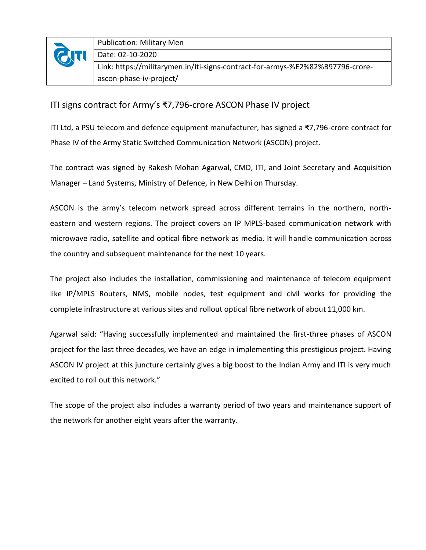| <b>QTI</b> | <b>Publication: Military Men</b>                                               |
|------------|--------------------------------------------------------------------------------|
|            | Date: 02-10-2020                                                               |
|            | Link: https://militarymen.in/iti-signs-contract-for-armys-%E2%82%B97796-crore- |
|            | ascon-phase-iv-project/                                                        |

## ITI signs contract for Army's ₹7,796-crore ASCON Phase IV project

ITI Ltd, a PSU telecom and defence equipment manufacturer, has signed a ₹7,796-crore contract for Phase IV of the Army Static Switched Communication Network (ASCON) project.

The contract was signed by Rakesh Mohan Agarwal, CMD, ITI, and Joint Secretary and Acquisition Manager – Land Systems, Ministry of Defence, in New Delhi on Thursday.

ASCON is the army's telecom network spread across different terrains in the northern, northeastern and western regions. The project covers an IP MPLS-based communication network with microwave radio, satellite and optical fibre network as media. It will handle communication across the country and subsequent maintenance for the next 10 years.

The project also includes the installation, commissioning and maintenance of telecom equipment like IP/MPLS Routers, NMS, mobile nodes, test equipment and civil works for providing the complete infrastructure at various sites and rollout optical fibre network of about 11,000 km.

Agarwal said: "Having successfully implemented and maintained the first-three phases of ASCON project for the last three decades, we have an edge in implementing this prestigious project. Having ASCON IV project at this juncture certainly gives a big boost to the Indian Army and ITI is very much excited to roll out this network."

The scope of the project also includes a warranty period of two years and maintenance support of the network for another eight years after the warranty.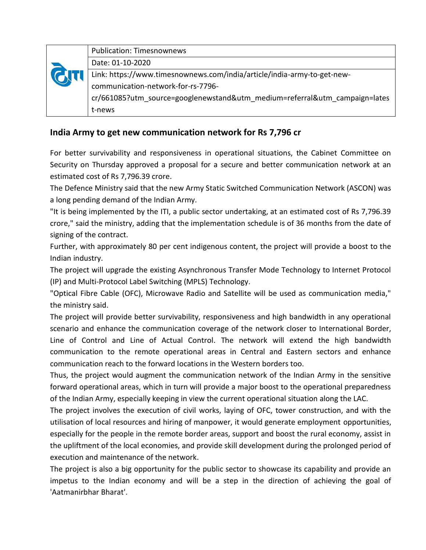| <b>GITI</b> | <b>Publication: Timesnownews</b>                                           |
|-------------|----------------------------------------------------------------------------|
|             | Date: 01-10-2020                                                           |
|             | Link: https://www.timesnownews.com/india/article/india-army-to-get-new-    |
|             | communication-network-for-rs-7796-                                         |
|             | cr/661085?utm source=googlenewstand&utm medium=referral&utm campaign=lates |
|             | t-news                                                                     |

## **India Army to get new communication network for Rs 7,796 cr**

For better survivability and responsiveness in operational situations, the Cabinet Committee on Security on Thursday approved a proposal for a secure and better communication network at an estimated cost of Rs 7,796.39 crore.

The Defence Ministry said that the new Army Static Switched Communication Network (ASCON) was a long pending demand of the Indian Army.

"It is being implemented by the ITI, a public sector undertaking, at an estimated cost of Rs 7,796.39 crore," said the ministry, adding that the implementation schedule is of 36 months from the date of signing of the contract.

Further, with approximately 80 per cent indigenous content, the project will provide a boost to the Indian industry.

The project will upgrade the existing Asynchronous Transfer Mode Technology to Internet Protocol (IP) and Multi-Protocol Label Switching (MPLS) Technology.

"Optical Fibre Cable (OFC), Microwave Radio and Satellite will be used as communication media," the ministry said.

The project will provide better survivability, responsiveness and high bandwidth in any operational scenario and enhance the communication coverage of the network closer to International Border, Line of Control and Line of Actual Control. The network will extend the high bandwidth communication to the remote operational areas in Central and Eastern sectors and enhance communication reach to the forward locations in the Western borders too.

Thus, the project would augment the communication network of the Indian Army in the sensitive forward operational areas, which in turn will provide a major boost to the operational preparedness of the Indian Army, especially keeping in view the current operational situation along the LAC.

The project involves the execution of civil works, laying of OFC, tower construction, and with the utilisation of local resources and hiring of manpower, it would generate employment opportunities, especially for the people in the remote border areas, support and boost the rural economy, assist in the upliftment of the local economies, and provide skill development during the prolonged period of execution and maintenance of the network.

The project is also a big opportunity for the public sector to showcase its capability and provide an impetus to the Indian economy and will be a step in the direction of achieving the goal of 'Aatmanirbhar Bharat'.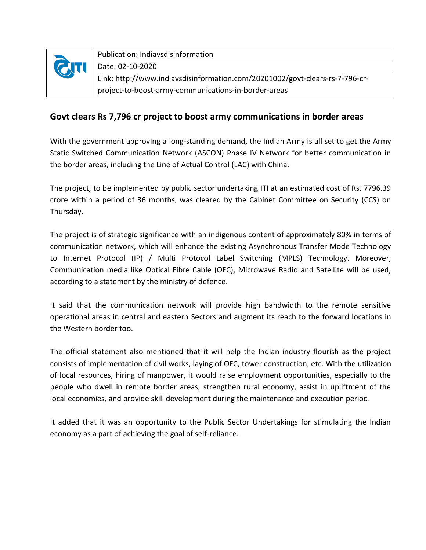| <b>CITI</b> | Publication: Indiavsdisinformation                                           |
|-------------|------------------------------------------------------------------------------|
|             | Date: 02-10-2020                                                             |
|             | Link: http://www.indiavsdisinformation.com/20201002/govt-clears-rs-7-796-cr- |
|             | project-to-boost-army-communications-in-border-areas                         |

## **Govt clears Rs 7,796 cr project to boost army communications in border areas**

With the government approvIng a long-standing demand, the Indian Army is all set to get the Army Static Switched Communication Network (ASCON) Phase IV Network for better communication in the border areas, including the Line of Actual Control (LAC) with China.

The project, to be implemented by public sector undertaking ITI at an estimated cost of Rs. 7796.39 crore within a period of 36 months, was cleared by the Cabinet Committee on Security (CCS) on Thursday.

The project is of strategic significance with an indigenous content of approximately 80% in terms of communication network, which will enhance the existing Asynchronous Transfer Mode Technology to Internet Protocol (IP) / Multi Protocol Label Switching (MPLS) Technology. Moreover, Communication media like Optical Fibre Cable (OFC), Microwave Radio and Satellite will be used, according to a statement by the ministry of defence.

It said that the communication network will provide high bandwidth to the remote sensitive operational areas in central and eastern Sectors and augment its reach to the forward locations in the Western border too.

The official statement also mentioned that it will help the Indian industry flourish as the project consists of implementation of civil works, laying of OFC, tower construction, etc. With the utilization of local resources, hiring of manpower, it would raise employment opportunities, especially to the people who dwell in remote border areas, strengthen rural economy, assist in upliftment of the local economies, and provide skill development during the maintenance and execution period.

It added that it was an opportunity to the Public Sector Undertakings for stimulating the Indian economy as a part of achieving the goal of self-reliance.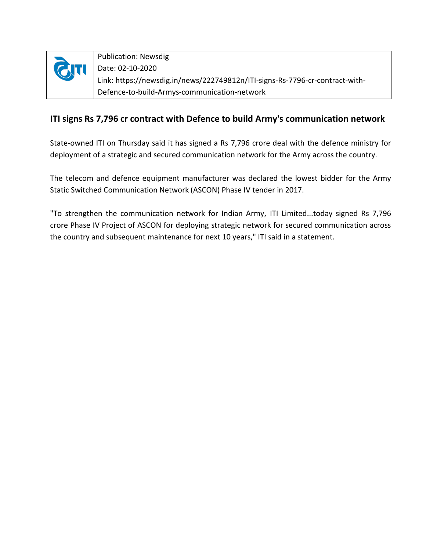| <b>QT</b> | <b>Publication: Newsdig</b>                                                  |
|-----------|------------------------------------------------------------------------------|
|           | Date: 02-10-2020                                                             |
|           | Link: https://newsdig.in/news/222749812n/ITI-signs-Rs-7796-cr-contract-with- |
|           | Defence-to-build-Armys-communication-network                                 |

## **ITI signs Rs 7,796 cr contract with Defence to build Army's communication network**

State-owned ITI on Thursday said it has signed a Rs 7,796 crore deal with the defence ministry for deployment of a strategic and secured communication network for the Army across the country.

The telecom and defence equipment manufacturer was declared the lowest bidder for the Army Static Switched Communication Network (ASCON) Phase IV tender in 2017.

"To strengthen the communication network for Indian Army, ITI Limited...today signed Rs 7,796 crore Phase IV Project of ASCON for deploying strategic network for secured communication across the country and subsequent maintenance for next 10 years," ITI said in a statement.